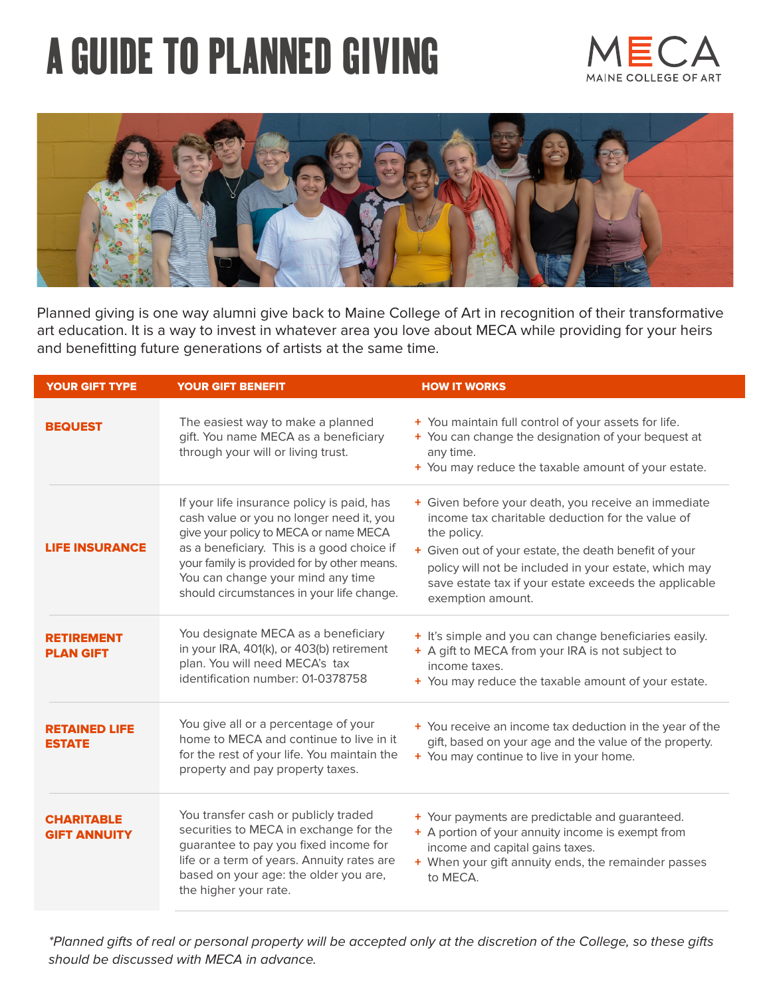# **A GUIDE TO PLANNED GIVING**





Planned giving is one way alumni give back to Maine College of Art in recognition of their transformative art education. It is a way to invest in whatever area you love about MECA while providing for your heirs and benefitting future generations of artists at the same time.

| <b>YOUR GIFT TYPE</b>                    | YOUR GIFT BENEFIT                                                                                                                                                                                                                                                                                              | <b>HOW IT WORKS</b>                                                                                                                                                                                                                                                                                                    |
|------------------------------------------|----------------------------------------------------------------------------------------------------------------------------------------------------------------------------------------------------------------------------------------------------------------------------------------------------------------|------------------------------------------------------------------------------------------------------------------------------------------------------------------------------------------------------------------------------------------------------------------------------------------------------------------------|
| <b>BEQUEST</b>                           | The easiest way to make a planned<br>gift. You name MECA as a beneficiary<br>through your will or living trust.                                                                                                                                                                                                | + You maintain full control of your assets for life.<br>+ You can change the designation of your bequest at<br>any time.<br>+ You may reduce the taxable amount of your estate.                                                                                                                                        |
| <b>LIFE INSURANCE</b>                    | If your life insurance policy is paid, has<br>cash value or you no longer need it, you<br>give your policy to MECA or name MECA<br>as a beneficiary. This is a good choice if<br>your family is provided for by other means.<br>You can change your mind any time<br>should circumstances in your life change. | + Given before your death, you receive an immediate<br>income tax charitable deduction for the value of<br>the policy.<br>+ Given out of your estate, the death benefit of your<br>policy will not be included in your estate, which may<br>save estate tax if your estate exceeds the applicable<br>exemption amount. |
| <b>RETIREMENT</b><br><b>PLAN GIFT</b>    | You designate MECA as a beneficiary<br>in your IRA, 401(k), or 403(b) retirement<br>plan. You will need MECA's tax<br>identification number: 01-0378758                                                                                                                                                        | + It's simple and you can change beneficiaries easily.<br>+ A gift to MECA from your IRA is not subject to<br>income taxes.<br>+ You may reduce the taxable amount of your estate.                                                                                                                                     |
| <b>RETAINED LIFE</b><br><b>ESTATE</b>    | You give all or a percentage of your<br>home to MECA and continue to live in it<br>for the rest of your life. You maintain the<br>property and pay property taxes.                                                                                                                                             | + You receive an income tax deduction in the year of the<br>gift, based on your age and the value of the property.<br>+ You may continue to live in your home.                                                                                                                                                         |
| <b>CHARITABLE</b><br><b>GIFT ANNUITY</b> | You transfer cash or publicly traded<br>securities to MECA in exchange for the<br>guarantee to pay you fixed income for<br>life or a term of years. Annuity rates are<br>based on your age: the older you are,<br>the higher your rate.                                                                        | + Your payments are predictable and guaranteed.<br>+ A portion of your annuity income is exempt from<br>income and capital gains taxes.<br>+ When your gift annuity ends, the remainder passes<br>to MECA.                                                                                                             |

\*Planned gifts of real or personal property will be accepted only at the discretion of the College, so these gifts should be discussed with MECA in advance.